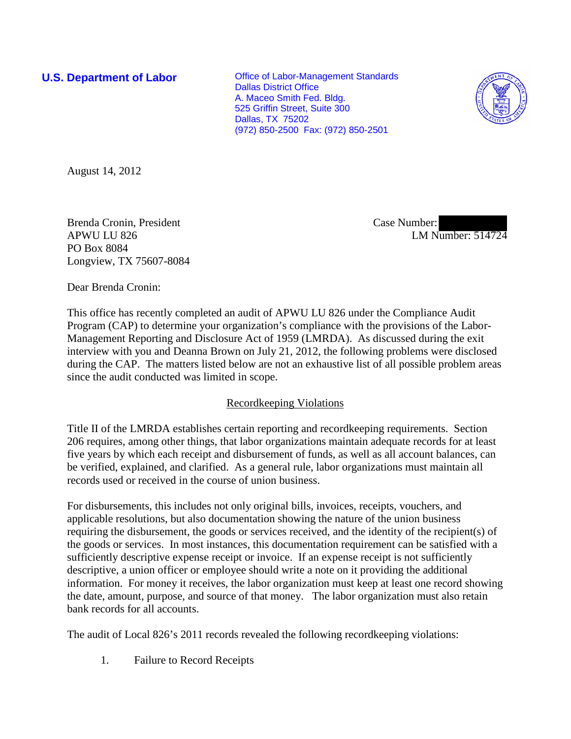**U.S. Department of Labor Conservative Conservative Conservative Conservative Conservative Conservative Conservative Conservative Conservative Conservative Conservative Conservative Conservative Conservative Conservative** Dallas District Office A. Maceo Smith Fed. Bldg. 525 Griffin Street, Suite 300 Dallas, TX 75202 (972) 850-2500 Fax: (972) 850-2501



August 14, 2012

Brenda Cronin, President APWU LU 826 PO Box 8084 Longview, TX 75607-8084 Case Number: LM Number: 514724

Dear Brenda Cronin:

This office has recently completed an audit of APWU LU 826 under the Compliance Audit Program (CAP) to determine your organization's compliance with the provisions of the Labor-Management Reporting and Disclosure Act of 1959 (LMRDA). As discussed during the exit interview with you and Deanna Brown on July 21, 2012, the following problems were disclosed during the CAP. The matters listed below are not an exhaustive list of all possible problem areas since the audit conducted was limited in scope.

## Recordkeeping Violations

Title II of the LMRDA establishes certain reporting and recordkeeping requirements. Section 206 requires, among other things, that labor organizations maintain adequate records for at least five years by which each receipt and disbursement of funds, as well as all account balances, can be verified, explained, and clarified. As a general rule, labor organizations must maintain all records used or received in the course of union business.

For disbursements, this includes not only original bills, invoices, receipts, vouchers, and applicable resolutions, but also documentation showing the nature of the union business requiring the disbursement, the goods or services received, and the identity of the recipient(s) of the goods or services. In most instances, this documentation requirement can be satisfied with a sufficiently descriptive expense receipt or invoice. If an expense receipt is not sufficiently descriptive, a union officer or employee should write a note on it providing the additional information. For money it receives, the labor organization must keep at least one record showing the date, amount, purpose, and source of that money. The labor organization must also retain bank records for all accounts.

The audit of Local 826's 2011 records revealed the following recordkeeping violations:

1. Failure to Record Receipts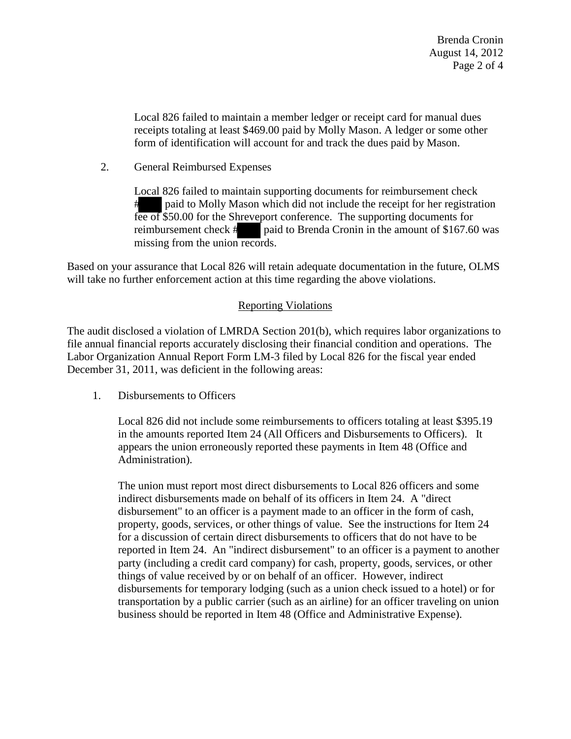Local 826 failed to maintain a member ledger or receipt card for manual dues receipts totaling at least \$469.00 paid by Molly Mason. A ledger or some other form of identification will account for and track the dues paid by Mason.

2. General Reimbursed Expenses

Local 826 failed to maintain supporting documents for reimbursement check paid to Molly Mason which did not include the receipt for her registration fee of \$50.00 for the Shreveport conference. The supporting documents for reimbursement check # paid to Brenda Cronin in the amount of \$167.60 was missing from the union records.

Based on your assurance that Local 826 will retain adequate documentation in the future, OLMS will take no further enforcement action at this time regarding the above violations.

## Reporting Violations

The audit disclosed a violation of LMRDA Section 201(b), which requires labor organizations to file annual financial reports accurately disclosing their financial condition and operations. The Labor Organization Annual Report Form LM-3 filed by Local 826 for the fiscal year ended December 31, 2011, was deficient in the following areas:

1. Disbursements to Officers

Local 826 did not include some reimbursements to officers totaling at least \$395.19 in the amounts reported Item 24 (All Officers and Disbursements to Officers). It appears the union erroneously reported these payments in Item 48 (Office and Administration).

The union must report most direct disbursements to Local 826 officers and some indirect disbursements made on behalf of its officers in Item 24. A "direct disbursement" to an officer is a payment made to an officer in the form of cash, property, goods, services, or other things of value. See the instructions for Item 24 for a discussion of certain direct disbursements to officers that do not have to be reported in Item 24. An "indirect disbursement" to an officer is a payment to another party (including a credit card company) for cash, property, goods, services, or other things of value received by or on behalf of an officer. However, indirect disbursements for temporary lodging (such as a union check issued to a hotel) or for transportation by a public carrier (such as an airline) for an officer traveling on union business should be reported in Item 48 (Office and Administrative Expense).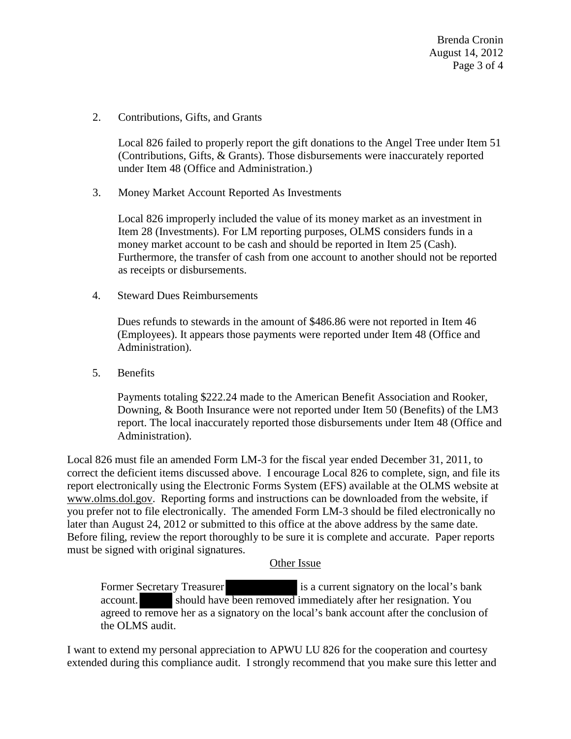Brenda Cronin August 14, 2012 Page 3 of 4

2. Contributions, Gifts, and Grants

Local 826 failed to properly report the gift donations to the Angel Tree under Item 51 (Contributions, Gifts, & Grants). Those disbursements were inaccurately reported under Item 48 (Office and Administration.)

3. Money Market Account Reported As Investments

Local 826 improperly included the value of its money market as an investment in Item 28 (Investments). For LM reporting purposes, OLMS considers funds in a money market account to be cash and should be reported in Item 25 (Cash). Furthermore, the transfer of cash from one account to another should not be reported as receipts or disbursements.

4. Steward Dues Reimbursements

Dues refunds to stewards in the amount of \$486.86 were not reported in Item 46 (Employees). It appears those payments were reported under Item 48 (Office and Administration).

5. Benefits

Payments totaling \$222.24 made to the American Benefit Association and Rooker, Downing, & Booth Insurance were not reported under Item 50 (Benefits) of the LM3 report. The local inaccurately reported those disbursements under Item 48 (Office and Administration).

Local 826 must file an amended Form LM-3 for the fiscal year ended December 31, 2011, to correct the deficient items discussed above. I encourage Local 826 to complete, sign, and file its report electronically using the Electronic Forms System (EFS) available at the OLMS website at [www.olms.dol.gov.](http://www.olms.dol.gov/) Reporting forms and instructions can be downloaded from the website, if you prefer not to file electronically. The amended Form LM-3 should be filed electronically no later than August 24, 2012 or submitted to this office at the above address by the same date. Before filing, review the report thoroughly to be sure it is complete and accurate. Paper reports must be signed with original signatures.

## Other Issue

Former Secretary Treasurer is a current signatory on the local's bank account. should have been removed immediately after her resignation. You agreed to remove her as a signatory on the local's bank account after the conclusion of the OLMS audit.

I want to extend my personal appreciation to APWU LU 826 for the cooperation and courtesy extended during this compliance audit. I strongly recommend that you make sure this letter and